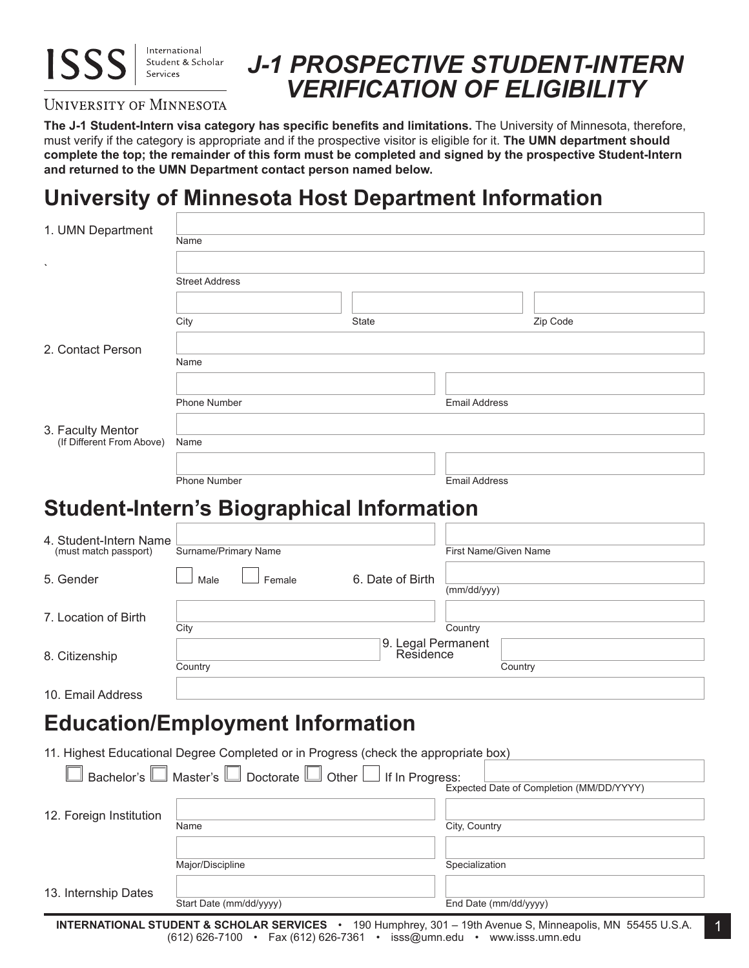

#### International Student & Scholar

# *J-1 PROSPECTIVE STUDENT-INTERN VERIFICATION OF ELIGIBILITY*

#### UNIVERSITY OF MINNESOTA

**The J-1 Student-Intern visa category has specific benefits and limitations.** The University of Minnesota, therefore, must verify if the category is appropriate and if the prospective visitor is eligible for it. **The UMN department should complete the top; the remainder of this form must be completed and signed by the prospective Student-Intern and returned to the UMN Department contact person named below.**

## **University of Minnesota Host Department Information**

| 1. UMN Department                                                                                                                                                                                                                             | Name                                                                                                                                                                                                |                                          |
|-----------------------------------------------------------------------------------------------------------------------------------------------------------------------------------------------------------------------------------------------|-----------------------------------------------------------------------------------------------------------------------------------------------------------------------------------------------------|------------------------------------------|
|                                                                                                                                                                                                                                               |                                                                                                                                                                                                     |                                          |
|                                                                                                                                                                                                                                               | Street Address                                                                                                                                                                                      |                                          |
|                                                                                                                                                                                                                                               |                                                                                                                                                                                                     |                                          |
|                                                                                                                                                                                                                                               | City<br>State                                                                                                                                                                                       | Zip Code                                 |
| 2. Contact Person                                                                                                                                                                                                                             |                                                                                                                                                                                                     |                                          |
|                                                                                                                                                                                                                                               | Name                                                                                                                                                                                                |                                          |
|                                                                                                                                                                                                                                               |                                                                                                                                                                                                     |                                          |
|                                                                                                                                                                                                                                               | <b>Phone Number</b>                                                                                                                                                                                 | <b>Email Address</b>                     |
| 3. Faculty Mentor                                                                                                                                                                                                                             |                                                                                                                                                                                                     |                                          |
| (If Different From Above)                                                                                                                                                                                                                     | Name                                                                                                                                                                                                |                                          |
|                                                                                                                                                                                                                                               | <b>Phone Number</b>                                                                                                                                                                                 | <b>Email Address</b>                     |
|                                                                                                                                                                                                                                               |                                                                                                                                                                                                     |                                          |
|                                                                                                                                                                                                                                               | <b>Student-Intern's Biographical Information</b>                                                                                                                                                    |                                          |
| 4. Student-Intern Name                                                                                                                                                                                                                        |                                                                                                                                                                                                     |                                          |
| (must match passport)                                                                                                                                                                                                                         | Surname/Primary Name                                                                                                                                                                                | First Name/Given Name                    |
| 5. Gender                                                                                                                                                                                                                                     | 6. Date of Birth<br>Male<br>Female                                                                                                                                                                  |                                          |
|                                                                                                                                                                                                                                               |                                                                                                                                                                                                     | (mm/dd/yyy)                              |
| 7. Location of Birth                                                                                                                                                                                                                          | City                                                                                                                                                                                                | Country                                  |
|                                                                                                                                                                                                                                               | 9. Legal Permanent                                                                                                                                                                                  |                                          |
| 8. Citizenship                                                                                                                                                                                                                                | Residence<br>Country                                                                                                                                                                                | Country                                  |
| 10. Email Address                                                                                                                                                                                                                             |                                                                                                                                                                                                     |                                          |
|                                                                                                                                                                                                                                               |                                                                                                                                                                                                     |                                          |
|                                                                                                                                                                                                                                               | <b>Education/Employment Information</b>                                                                                                                                                             |                                          |
|                                                                                                                                                                                                                                               | 11. Highest Educational Degree Completed or in Progress (check the appropriate box)                                                                                                                 |                                          |
| and the state of the state of the state of the state of the state of the state of the state of the state of the state of the state of the state of the state of the state of the state of the state of the state of the state<br>Bachelor's L | the contract of the contract of the contract of the contract of the contract of the contract of the contract of<br>$\Box$<br>Master's $\Box$ Doctorate $\Box$<br>Other $\lfloor$<br>If In Progress: |                                          |
|                                                                                                                                                                                                                                               |                                                                                                                                                                                                     | Expected Date of Completion (MM/DD/YYYY) |
| 12. Foreign Institution                                                                                                                                                                                                                       | Name                                                                                                                                                                                                | City, Country                            |
|                                                                                                                                                                                                                                               |                                                                                                                                                                                                     |                                          |
|                                                                                                                                                                                                                                               | Major/Discipline                                                                                                                                                                                    | Specialization                           |
| 13. Internship Dates                                                                                                                                                                                                                          |                                                                                                                                                                                                     |                                          |
|                                                                                                                                                                                                                                               | Start Date (mm/dd/yyyy)                                                                                                                                                                             | End Date (mm/dd/yyyy)                    |

1